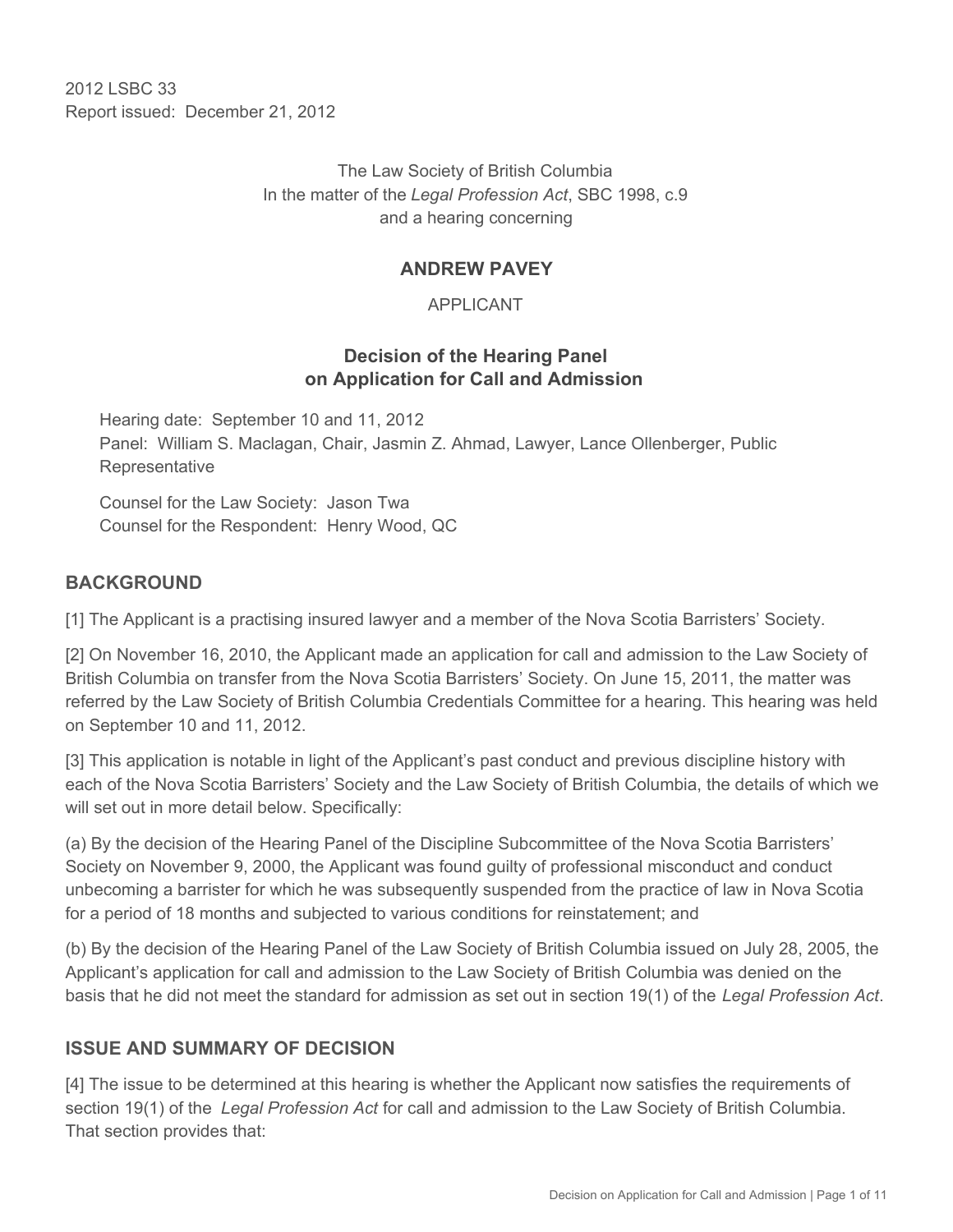2012 LSBC 33 Report issued: December 21, 2012

> The Law Society of British Columbia In the matter of the *Legal Profession Act*, SBC 1998, c.9 and a hearing concerning

### **ANDREW PAVEY**

APPLICANT

## **Decision of the Hearing Panel on Application for Call and Admission**

Hearing date: September 10 and 11, 2012 Panel: William S. Maclagan, Chair, Jasmin Z. Ahmad, Lawyer, Lance Ollenberger, Public Representative

Counsel for the Law Society: Jason Twa Counsel for the Respondent: Henry Wood, QC

## **BACKGROUND**

[1] The Applicant is a practising insured lawyer and a member of the Nova Scotia Barristers' Society.

[2] On November 16, 2010, the Applicant made an application for call and admission to the Law Society of British Columbia on transfer from the Nova Scotia Barristers' Society. On June 15, 2011, the matter was referred by the Law Society of British Columbia Credentials Committee for a hearing. This hearing was held on September 10 and 11, 2012.

[3] This application is notable in light of the Applicant's past conduct and previous discipline history with each of the Nova Scotia Barristers' Society and the Law Society of British Columbia, the details of which we will set out in more detail below. Specifically:

(a) By the decision of the Hearing Panel of the Discipline Subcommittee of the Nova Scotia Barristers' Society on November 9, 2000, the Applicant was found guilty of professional misconduct and conduct unbecoming a barrister for which he was subsequently suspended from the practice of law in Nova Scotia for a period of 18 months and subjected to various conditions for reinstatement; and

(b) By the decision of the Hearing Panel of the Law Society of British Columbia issued on July 28, 2005, the Applicant's application for call and admission to the Law Society of British Columbia was denied on the basis that he did not meet the standard for admission as set out in section 19(1) of the *Legal Profession Act*.

## **ISSUE AND SUMMARY OF DECISION**

[4] The issue to be determined at this hearing is whether the Applicant now satisfies the requirements of section 19(1) of the *Legal Profession Act* for call and admission to the Law Society of British Columbia. That section provides that: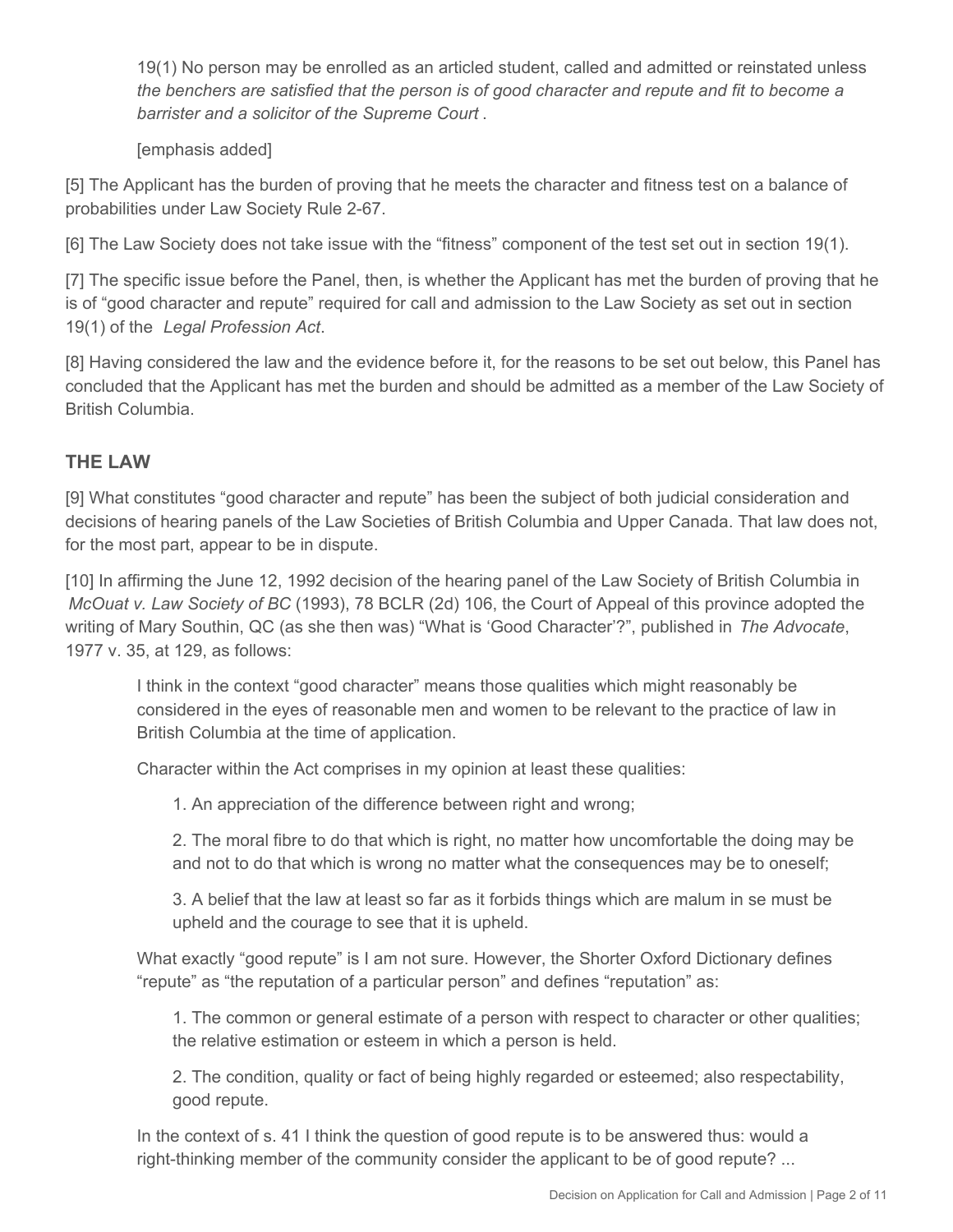19(1) No person may be enrolled as an articled student, called and admitted or reinstated unless *the benchers are satisfied that the person is of good character and repute and fit to become a barrister and a solicitor of the Supreme Court* .

[emphasis added]

[5] The Applicant has the burden of proving that he meets the character and fitness test on a balance of probabilities under Law Society Rule 2-67.

[6] The Law Society does not take issue with the "fitness" component of the test set out in section 19(1).

[7] The specific issue before the Panel, then, is whether the Applicant has met the burden of proving that he is of "good character and repute" required for call and admission to the Law Society as set out in section 19(1) of the *Legal Profession Act*.

[8] Having considered the law and the evidence before it, for the reasons to be set out below, this Panel has concluded that the Applicant has met the burden and should be admitted as a member of the Law Society of British Columbia.

## **THE LAW**

[9] What constitutes "good character and repute" has been the subject of both judicial consideration and decisions of hearing panels of the Law Societies of British Columbia and Upper Canada. That law does not, for the most part, appear to be in dispute.

[10] In affirming the June 12, 1992 decision of the hearing panel of the Law Society of British Columbia in *McOuat v. Law Society of BC* (1993), 78 BCLR (2d) 106, the Court of Appeal of this province adopted the writing of Mary Southin, QC (as she then was) "What is 'Good Character'?", published in *The Advocate*, 1977 v. 35, at 129, as follows:

I think in the context "good character" means those qualities which might reasonably be considered in the eyes of reasonable men and women to be relevant to the practice of law in British Columbia at the time of application.

Character within the Act comprises in my opinion at least these qualities:

1. An appreciation of the difference between right and wrong;

2. The moral fibre to do that which is right, no matter how uncomfortable the doing may be and not to do that which is wrong no matter what the consequences may be to oneself;

3. A belief that the law at least so far as it forbids things which are malum in se must be upheld and the courage to see that it is upheld.

What exactly "good repute" is I am not sure. However, the Shorter Oxford Dictionary defines "repute" as "the reputation of a particular person" and defines "reputation" as:

1. The common or general estimate of a person with respect to character or other qualities; the relative estimation or esteem in which a person is held.

2. The condition, quality or fact of being highly regarded or esteemed; also respectability, good repute.

In the context of s. 41 I think the question of good repute is to be answered thus: would a right-thinking member of the community consider the applicant to be of good repute? ...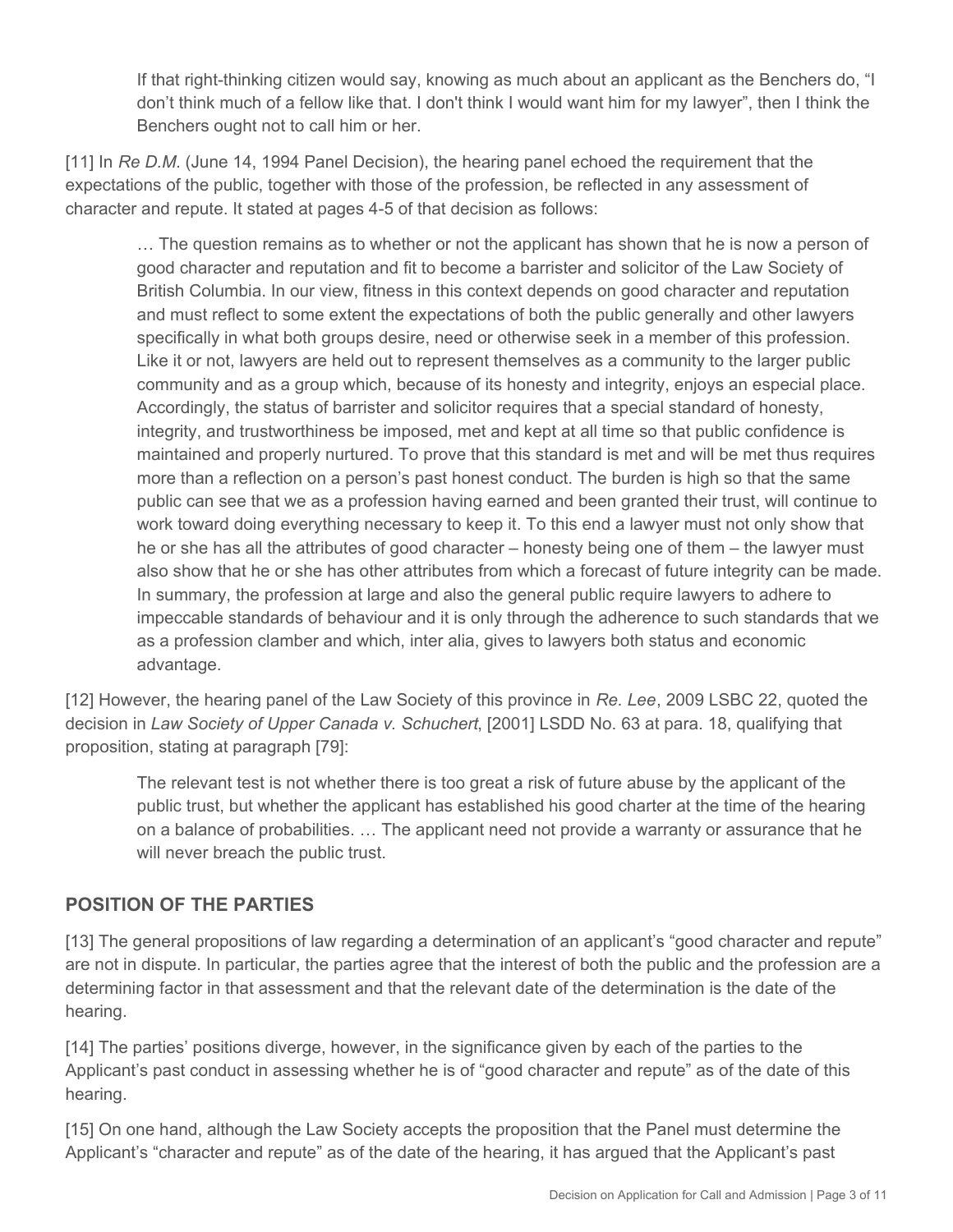If that right-thinking citizen would say, knowing as much about an applicant as the Benchers do, "I don't think much of a fellow like that. I don't think I would want him for my lawyer", then I think the Benchers ought not to call him or her.

[11] In *Re D.M.* (June 14, 1994 Panel Decision), the hearing panel echoed the requirement that the expectations of the public, together with those of the profession, be reflected in any assessment of character and repute. It stated at pages 4-5 of that decision as follows:

… The question remains as to whether or not the applicant has shown that he is now a person of good character and reputation and fit to become a barrister and solicitor of the Law Society of British Columbia. In our view, fitness in this context depends on good character and reputation and must reflect to some extent the expectations of both the public generally and other lawyers specifically in what both groups desire, need or otherwise seek in a member of this profession. Like it or not, lawyers are held out to represent themselves as a community to the larger public community and as a group which, because of its honesty and integrity, enjoys an especial place. Accordingly, the status of barrister and solicitor requires that a special standard of honesty, integrity, and trustworthiness be imposed, met and kept at all time so that public confidence is maintained and properly nurtured. To prove that this standard is met and will be met thus requires more than a reflection on a person's past honest conduct. The burden is high so that the same public can see that we as a profession having earned and been granted their trust, will continue to work toward doing everything necessary to keep it. To this end a lawyer must not only show that he or she has all the attributes of good character – honesty being one of them – the lawyer must also show that he or she has other attributes from which a forecast of future integrity can be made. In summary, the profession at large and also the general public require lawyers to adhere to impeccable standards of behaviour and it is only through the adherence to such standards that we as a profession clamber and which, inter alia, gives to lawyers both status and economic advantage.

[12] However, the hearing panel of the Law Society of this province in *Re. Lee*, 2009 LSBC 22, quoted the decision in *Law Society of Upper Canada v. Schuchert*, [2001] LSDD No. 63 at para. 18, qualifying that proposition, stating at paragraph [79]:

The relevant test is not whether there is too great a risk of future abuse by the applicant of the public trust, but whether the applicant has established his good charter at the time of the hearing on a balance of probabilities. … The applicant need not provide a warranty or assurance that he will never breach the public trust.

## **POSITION OF THE PARTIES**

[13] The general propositions of law regarding a determination of an applicant's "good character and repute" are not in dispute. In particular, the parties agree that the interest of both the public and the profession are a determining factor in that assessment and that the relevant date of the determination is the date of the hearing.

[14] The parties' positions diverge, however, in the significance given by each of the parties to the Applicant's past conduct in assessing whether he is of "good character and repute" as of the date of this hearing.

[15] On one hand, although the Law Society accepts the proposition that the Panel must determine the Applicant's "character and repute" as of the date of the hearing, it has argued that the Applicant's past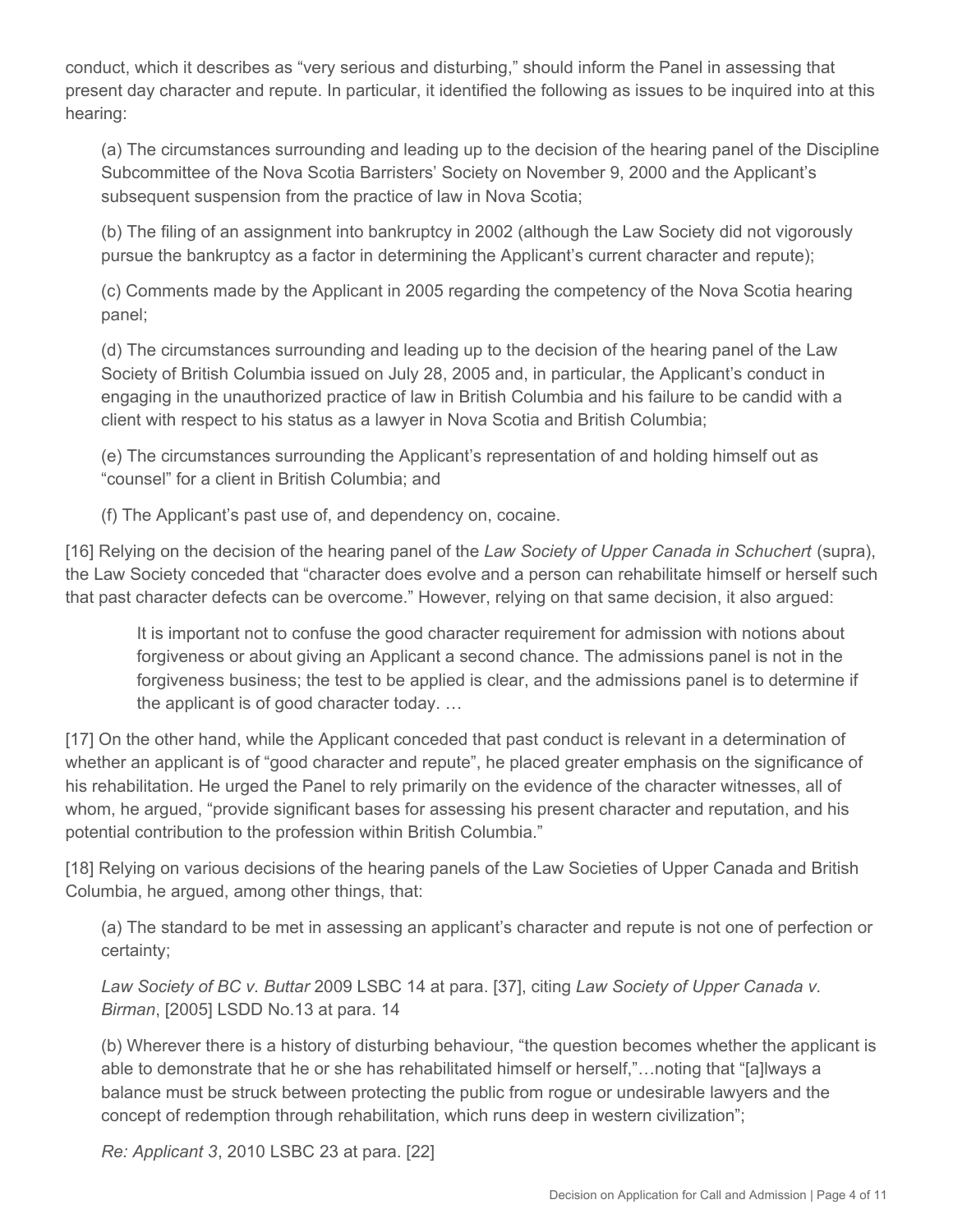conduct, which it describes as "very serious and disturbing," should inform the Panel in assessing that present day character and repute. In particular, it identified the following as issues to be inquired into at this hearing:

(a) The circumstances surrounding and leading up to the decision of the hearing panel of the Discipline Subcommittee of the Nova Scotia Barristers' Society on November 9, 2000 and the Applicant's subsequent suspension from the practice of law in Nova Scotia;

(b) The filing of an assignment into bankruptcy in 2002 (although the Law Society did not vigorously pursue the bankruptcy as a factor in determining the Applicant's current character and repute);

(c) Comments made by the Applicant in 2005 regarding the competency of the Nova Scotia hearing panel;

(d) The circumstances surrounding and leading up to the decision of the hearing panel of the Law Society of British Columbia issued on July 28, 2005 and, in particular, the Applicant's conduct in engaging in the unauthorized practice of law in British Columbia and his failure to be candid with a client with respect to his status as a lawyer in Nova Scotia and British Columbia;

(e) The circumstances surrounding the Applicant's representation of and holding himself out as "counsel" for a client in British Columbia; and

(f) The Applicant's past use of, and dependency on, cocaine.

[16] Relying on the decision of the hearing panel of the *Law Society of Upper Canada in Schuchert* (supra), the Law Society conceded that "character does evolve and a person can rehabilitate himself or herself such that past character defects can be overcome." However, relying on that same decision, it also argued:

It is important not to confuse the good character requirement for admission with notions about forgiveness or about giving an Applicant a second chance. The admissions panel is not in the forgiveness business; the test to be applied is clear, and the admissions panel is to determine if the applicant is of good character today. …

[17] On the other hand, while the Applicant conceded that past conduct is relevant in a determination of whether an applicant is of "good character and repute", he placed greater emphasis on the significance of his rehabilitation. He urged the Panel to rely primarily on the evidence of the character witnesses, all of whom, he argued, "provide significant bases for assessing his present character and reputation, and his potential contribution to the profession within British Columbia."

[18] Relying on various decisions of the hearing panels of the Law Societies of Upper Canada and British Columbia, he argued, among other things, that:

(a) The standard to be met in assessing an applicant's character and repute is not one of perfection or certainty;

*Law Society of BC v. Buttar* 2009 LSBC 14 at para. [37], citing *Law Society of Upper Canada v. Birman*, [2005] LSDD No.13 at para. 14

(b) Wherever there is a history of disturbing behaviour, "the question becomes whether the applicant is able to demonstrate that he or she has rehabilitated himself or herself,"…noting that "[a]lways a balance must be struck between protecting the public from rogue or undesirable lawyers and the concept of redemption through rehabilitation, which runs deep in western civilization";

*Re: Applicant 3*, 2010 LSBC 23 at para. [22]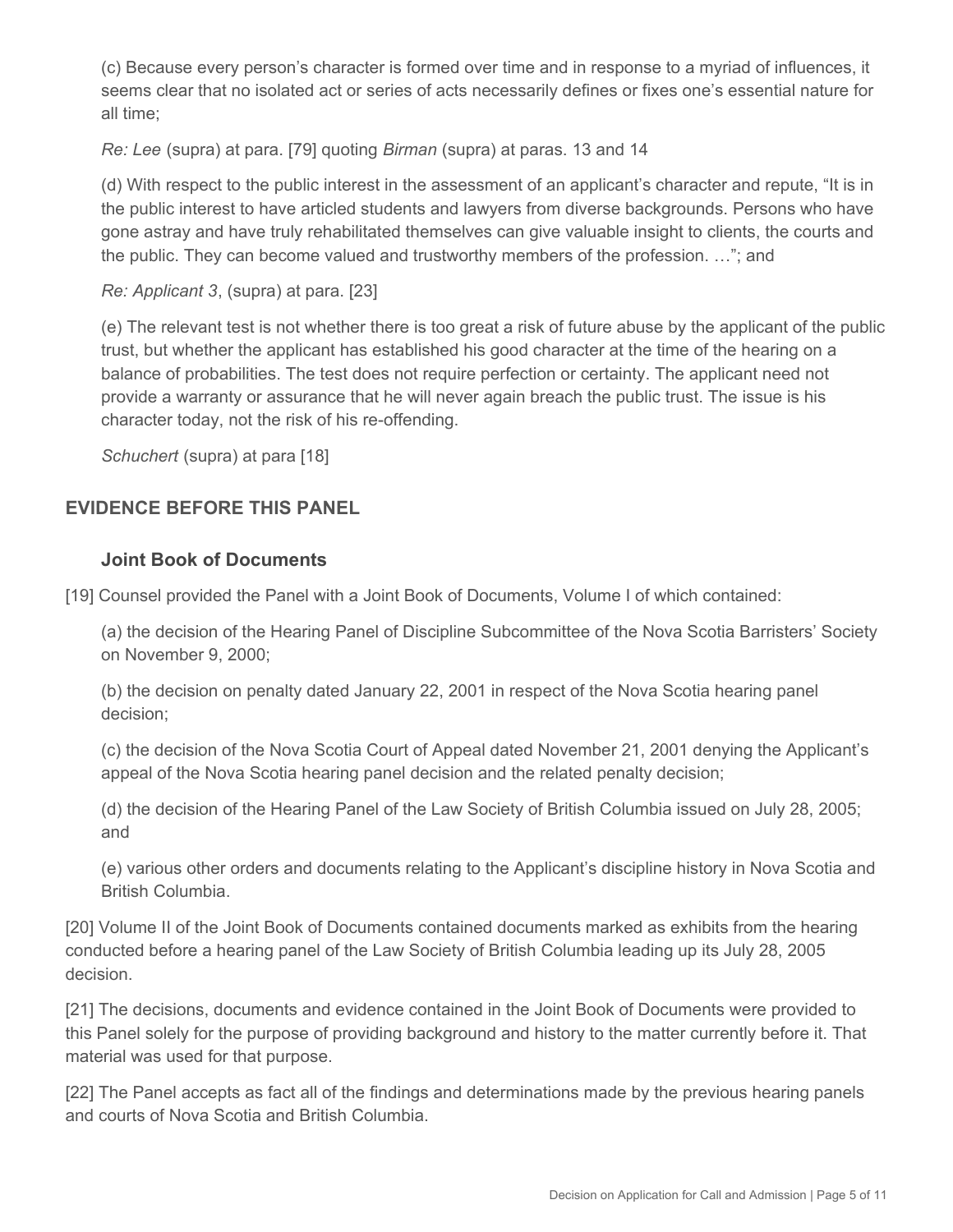(c) Because every person's character is formed over time and in response to a myriad of influences, it seems clear that no isolated act or series of acts necessarily defines or fixes one's essential nature for all time;

*Re: Lee* (supra) at para. [79] quoting *Birman* (supra) at paras. 13 and 14

(d) With respect to the public interest in the assessment of an applicant's character and repute, "It is in the public interest to have articled students and lawyers from diverse backgrounds. Persons who have gone astray and have truly rehabilitated themselves can give valuable insight to clients, the courts and the public. They can become valued and trustworthy members of the profession. …"; and

*Re: Applicant 3*, (supra) at para. [23]

(e) The relevant test is not whether there is too great a risk of future abuse by the applicant of the public trust, but whether the applicant has established his good character at the time of the hearing on a balance of probabilities. The test does not require perfection or certainty. The applicant need not provide a warranty or assurance that he will never again breach the public trust. The issue is his character today, not the risk of his re-offending.

*Schuchert* (supra) at para [18]

# **EVIDENCE BEFORE THIS PANEL**

## **Joint Book of Documents**

[19] Counsel provided the Panel with a Joint Book of Documents, Volume I of which contained:

(a) the decision of the Hearing Panel of Discipline Subcommittee of the Nova Scotia Barristers' Society on November 9, 2000;

(b) the decision on penalty dated January 22, 2001 in respect of the Nova Scotia hearing panel decision;

(c) the decision of the Nova Scotia Court of Appeal dated November 21, 2001 denying the Applicant's appeal of the Nova Scotia hearing panel decision and the related penalty decision;

(d) the decision of the Hearing Panel of the Law Society of British Columbia issued on July 28, 2005; and

(e) various other orders and documents relating to the Applicant's discipline history in Nova Scotia and British Columbia.

[20] Volume II of the Joint Book of Documents contained documents marked as exhibits from the hearing conducted before a hearing panel of the Law Society of British Columbia leading up its July 28, 2005 decision.

[21] The decisions, documents and evidence contained in the Joint Book of Documents were provided to this Panel solely for the purpose of providing background and history to the matter currently before it. That material was used for that purpose.

[22] The Panel accepts as fact all of the findings and determinations made by the previous hearing panels and courts of Nova Scotia and British Columbia.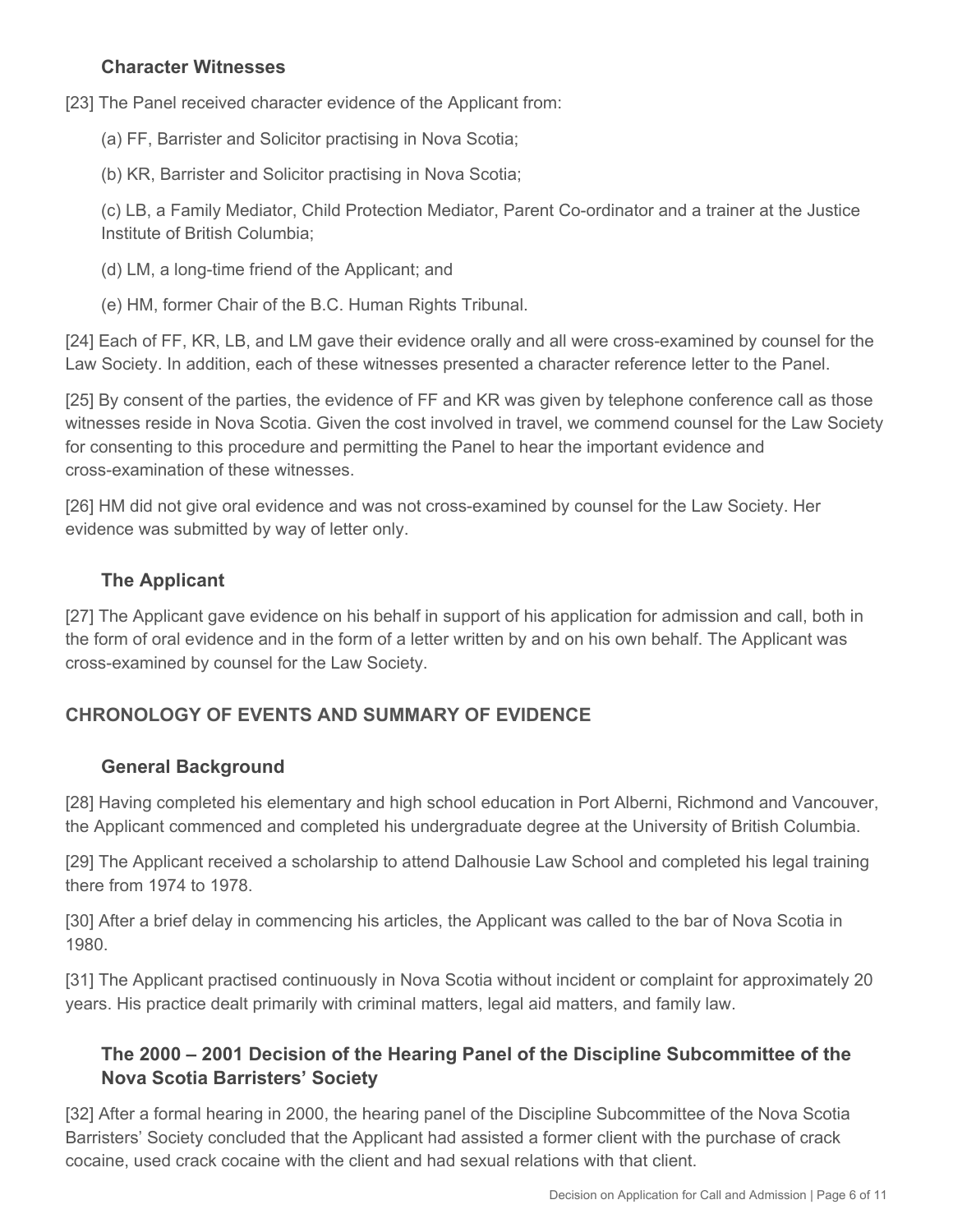### **Character Witnesses**

[23] The Panel received character evidence of the Applicant from:

(a) FF, Barrister and Solicitor practising in Nova Scotia;

(b) KR, Barrister and Solicitor practising in Nova Scotia;

(c) LB, a Family Mediator, Child Protection Mediator, Parent Co-ordinator and a trainer at the Justice Institute of British Columbia;

(d) LM, a long-time friend of the Applicant; and

(e) HM, former Chair of the B.C. Human Rights Tribunal.

[24] Each of FF, KR, LB, and LM gave their evidence orally and all were cross-examined by counsel for the Law Society. In addition, each of these witnesses presented a character reference letter to the Panel.

[25] By consent of the parties, the evidence of FF and KR was given by telephone conference call as those witnesses reside in Nova Scotia. Given the cost involved in travel, we commend counsel for the Law Society for consenting to this procedure and permitting the Panel to hear the important evidence and cross-examination of these witnesses.

[26] HM did not give oral evidence and was not cross-examined by counsel for the Law Society. Her evidence was submitted by way of letter only.

## **The Applicant**

[27] The Applicant gave evidence on his behalf in support of his application for admission and call, both in the form of oral evidence and in the form of a letter written by and on his own behalf. The Applicant was cross-examined by counsel for the Law Society.

## **CHRONOLOGY OF EVENTS AND SUMMARY OF EVIDENCE**

#### **General Background**

[28] Having completed his elementary and high school education in Port Alberni, Richmond and Vancouver, the Applicant commenced and completed his undergraduate degree at the University of British Columbia.

[29] The Applicant received a scholarship to attend Dalhousie Law School and completed his legal training there from 1974 to 1978.

[30] After a brief delay in commencing his articles, the Applicant was called to the bar of Nova Scotia in 1980.

[31] The Applicant practised continuously in Nova Scotia without incident or complaint for approximately 20 years. His practice dealt primarily with criminal matters, legal aid matters, and family law.

## **The 2000 – 2001 Decision of the Hearing Panel of the Discipline Subcommittee of the Nova Scotia Barristers' Society**

[32] After a formal hearing in 2000, the hearing panel of the Discipline Subcommittee of the Nova Scotia Barristers' Society concluded that the Applicant had assisted a former client with the purchase of crack cocaine, used crack cocaine with the client and had sexual relations with that client.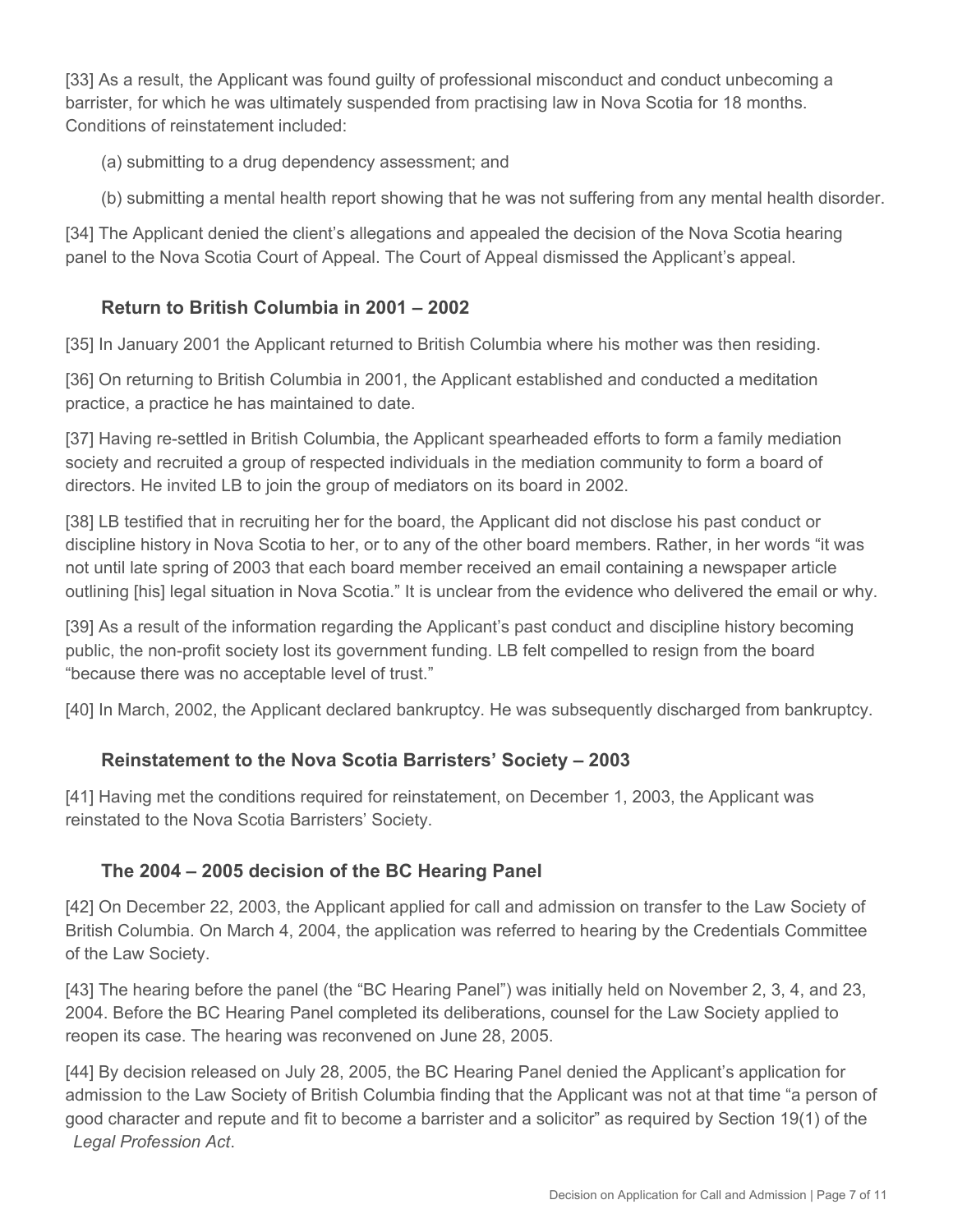[33] As a result, the Applicant was found guilty of professional misconduct and conduct unbecoming a barrister, for which he was ultimately suspended from practising law in Nova Scotia for 18 months. Conditions of reinstatement included:

(a) submitting to a drug dependency assessment; and

(b) submitting a mental health report showing that he was not suffering from any mental health disorder.

[34] The Applicant denied the client's allegations and appealed the decision of the Nova Scotia hearing panel to the Nova Scotia Court of Appeal. The Court of Appeal dismissed the Applicant's appeal.

## **Return to British Columbia in 2001 – 2002**

[35] In January 2001 the Applicant returned to British Columbia where his mother was then residing.

[36] On returning to British Columbia in 2001, the Applicant established and conducted a meditation practice, a practice he has maintained to date.

[37] Having re-settled in British Columbia, the Applicant spearheaded efforts to form a family mediation society and recruited a group of respected individuals in the mediation community to form a board of directors. He invited LB to join the group of mediators on its board in 2002.

[38] LB testified that in recruiting her for the board, the Applicant did not disclose his past conduct or discipline history in Nova Scotia to her, or to any of the other board members. Rather, in her words "it was not until late spring of 2003 that each board member received an email containing a newspaper article outlining [his] legal situation in Nova Scotia." It is unclear from the evidence who delivered the email or why.

[39] As a result of the information regarding the Applicant's past conduct and discipline history becoming public, the non-profit society lost its government funding. LB felt compelled to resign from the board "because there was no acceptable level of trust."

[40] In March, 2002, the Applicant declared bankruptcy. He was subsequently discharged from bankruptcy.

## **Reinstatement to the Nova Scotia Barristers' Society – 2003**

[41] Having met the conditions required for reinstatement, on December 1, 2003, the Applicant was reinstated to the Nova Scotia Barristers' Society.

# **The 2004 – 2005 decision of the BC Hearing Panel**

[42] On December 22, 2003, the Applicant applied for call and admission on transfer to the Law Society of British Columbia. On March 4, 2004, the application was referred to hearing by the Credentials Committee of the Law Society.

[43] The hearing before the panel (the "BC Hearing Panel") was initially held on November 2, 3, 4, and 23, 2004. Before the BC Hearing Panel completed its deliberations, counsel for the Law Society applied to reopen its case. The hearing was reconvened on June 28, 2005.

[44] By decision released on July 28, 2005, the BC Hearing Panel denied the Applicant's application for admission to the Law Society of British Columbia finding that the Applicant was not at that time "a person of good character and repute and fit to become a barrister and a solicitor" as required by Section 19(1) of the *Legal Profession Act*.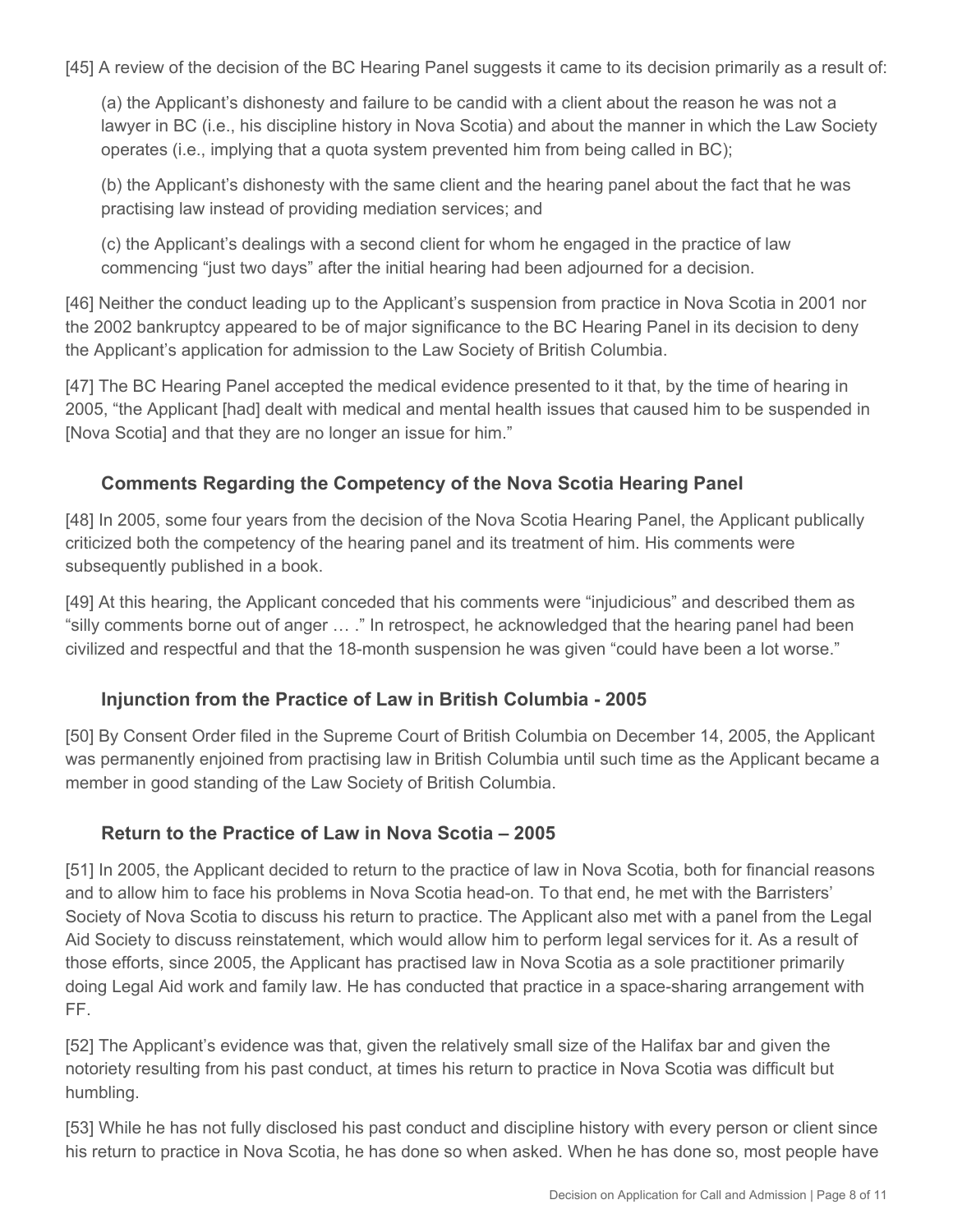[45] A review of the decision of the BC Hearing Panel suggests it came to its decision primarily as a result of:

(a) the Applicant's dishonesty and failure to be candid with a client about the reason he was not a lawyer in BC (i.e., his discipline history in Nova Scotia) and about the manner in which the Law Society operates (i.e., implying that a quota system prevented him from being called in BC);

(b) the Applicant's dishonesty with the same client and the hearing panel about the fact that he was practising law instead of providing mediation services; and

(c) the Applicant's dealings with a second client for whom he engaged in the practice of law commencing "just two days" after the initial hearing had been adjourned for a decision.

[46] Neither the conduct leading up to the Applicant's suspension from practice in Nova Scotia in 2001 nor the 2002 bankruptcy appeared to be of major significance to the BC Hearing Panel in its decision to deny the Applicant's application for admission to the Law Society of British Columbia.

[47] The BC Hearing Panel accepted the medical evidence presented to it that, by the time of hearing in 2005, "the Applicant [had] dealt with medical and mental health issues that caused him to be suspended in [Nova Scotia] and that they are no longer an issue for him."

### **Comments Regarding the Competency of the Nova Scotia Hearing Panel**

[48] In 2005, some four years from the decision of the Nova Scotia Hearing Panel, the Applicant publically criticized both the competency of the hearing panel and its treatment of him. His comments were subsequently published in a book.

[49] At this hearing, the Applicant conceded that his comments were "injudicious" and described them as "silly comments borne out of anger … ." In retrospect, he acknowledged that the hearing panel had been civilized and respectful and that the 18-month suspension he was given "could have been a lot worse."

#### **Injunction from the Practice of Law in British Columbia - 2005**

[50] By Consent Order filed in the Supreme Court of British Columbia on December 14, 2005, the Applicant was permanently enjoined from practising law in British Columbia until such time as the Applicant became a member in good standing of the Law Society of British Columbia.

#### **Return to the Practice of Law in Nova Scotia – 2005**

[51] In 2005, the Applicant decided to return to the practice of law in Nova Scotia, both for financial reasons and to allow him to face his problems in Nova Scotia head-on. To that end, he met with the Barristers' Society of Nova Scotia to discuss his return to practice. The Applicant also met with a panel from the Legal Aid Society to discuss reinstatement, which would allow him to perform legal services for it. As a result of those efforts, since 2005, the Applicant has practised law in Nova Scotia as a sole practitioner primarily doing Legal Aid work and family law. He has conducted that practice in a space-sharing arrangement with FF.

[52] The Applicant's evidence was that, given the relatively small size of the Halifax bar and given the notoriety resulting from his past conduct, at times his return to practice in Nova Scotia was difficult but humbling.

[53] While he has not fully disclosed his past conduct and discipline history with every person or client since his return to practice in Nova Scotia, he has done so when asked. When he has done so, most people have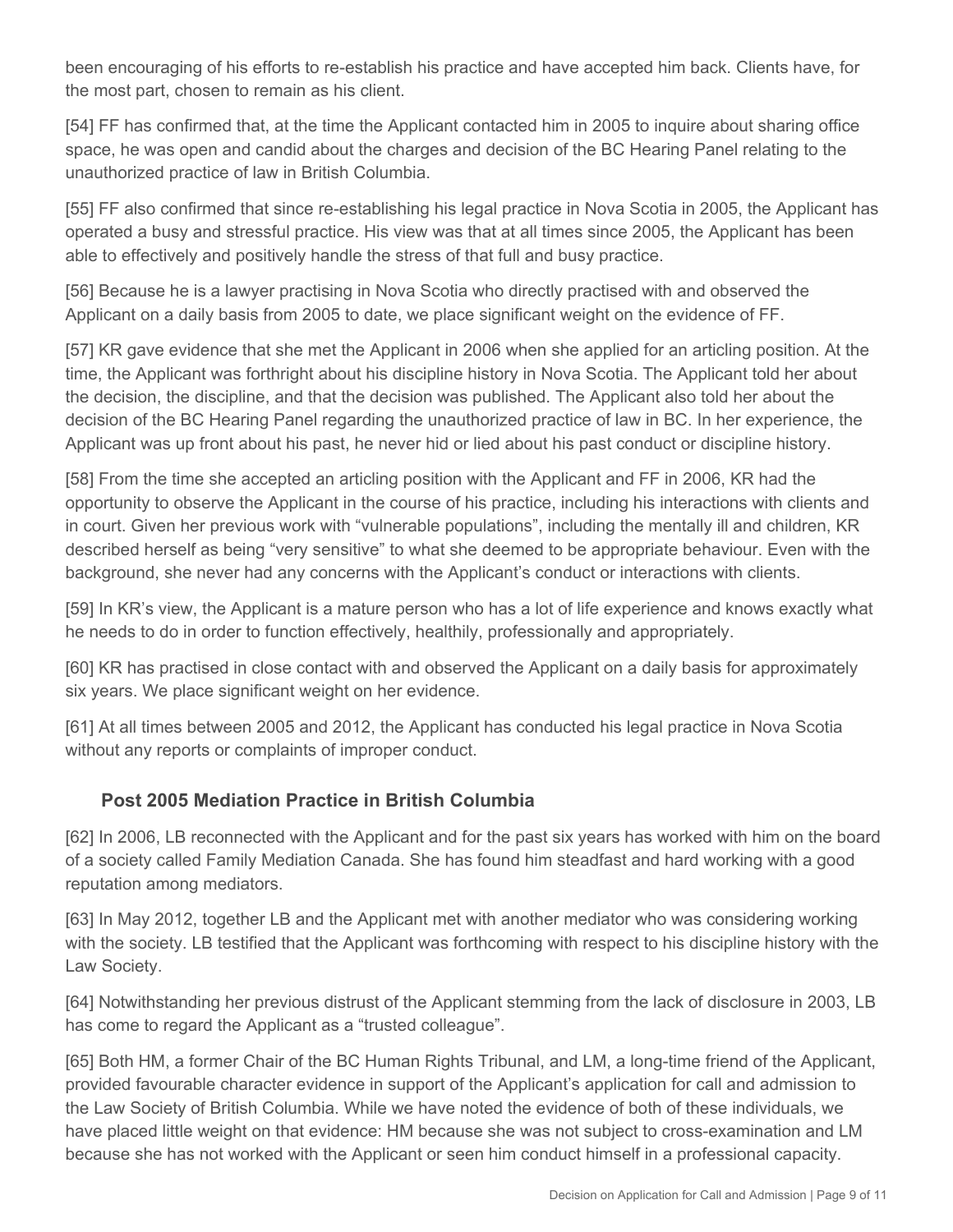been encouraging of his efforts to re-establish his practice and have accepted him back. Clients have, for the most part, chosen to remain as his client.

[54] FF has confirmed that, at the time the Applicant contacted him in 2005 to inquire about sharing office space, he was open and candid about the charges and decision of the BC Hearing Panel relating to the unauthorized practice of law in British Columbia.

[55] FF also confirmed that since re-establishing his legal practice in Nova Scotia in 2005, the Applicant has operated a busy and stressful practice. His view was that at all times since 2005, the Applicant has been able to effectively and positively handle the stress of that full and busy practice.

[56] Because he is a lawyer practising in Nova Scotia who directly practised with and observed the Applicant on a daily basis from 2005 to date, we place significant weight on the evidence of FF.

[57] KR gave evidence that she met the Applicant in 2006 when she applied for an articling position. At the time, the Applicant was forthright about his discipline history in Nova Scotia. The Applicant told her about the decision, the discipline, and that the decision was published. The Applicant also told her about the decision of the BC Hearing Panel regarding the unauthorized practice of law in BC. In her experience, the Applicant was up front about his past, he never hid or lied about his past conduct or discipline history.

[58] From the time she accepted an articling position with the Applicant and FF in 2006, KR had the opportunity to observe the Applicant in the course of his practice, including his interactions with clients and in court. Given her previous work with "vulnerable populations", including the mentally ill and children, KR described herself as being "very sensitive" to what she deemed to be appropriate behaviour. Even with the background, she never had any concerns with the Applicant's conduct or interactions with clients.

[59] In KR's view, the Applicant is a mature person who has a lot of life experience and knows exactly what he needs to do in order to function effectively, healthily, professionally and appropriately.

[60] KR has practised in close contact with and observed the Applicant on a daily basis for approximately six years. We place significant weight on her evidence.

[61] At all times between 2005 and 2012, the Applicant has conducted his legal practice in Nova Scotia without any reports or complaints of improper conduct.

## **Post 2005 Mediation Practice in British Columbia**

[62] In 2006, LB reconnected with the Applicant and for the past six years has worked with him on the board of a society called Family Mediation Canada. She has found him steadfast and hard working with a good reputation among mediators.

[63] In May 2012, together LB and the Applicant met with another mediator who was considering working with the society. LB testified that the Applicant was forthcoming with respect to his discipline history with the Law Society.

[64] Notwithstanding her previous distrust of the Applicant stemming from the lack of disclosure in 2003, LB has come to regard the Applicant as a "trusted colleague".

[65] Both HM, a former Chair of the BC Human Rights Tribunal, and LM, a long-time friend of the Applicant, provided favourable character evidence in support of the Applicant's application for call and admission to the Law Society of British Columbia. While we have noted the evidence of both of these individuals, we have placed little weight on that evidence: HM because she was not subject to cross-examination and LM because she has not worked with the Applicant or seen him conduct himself in a professional capacity.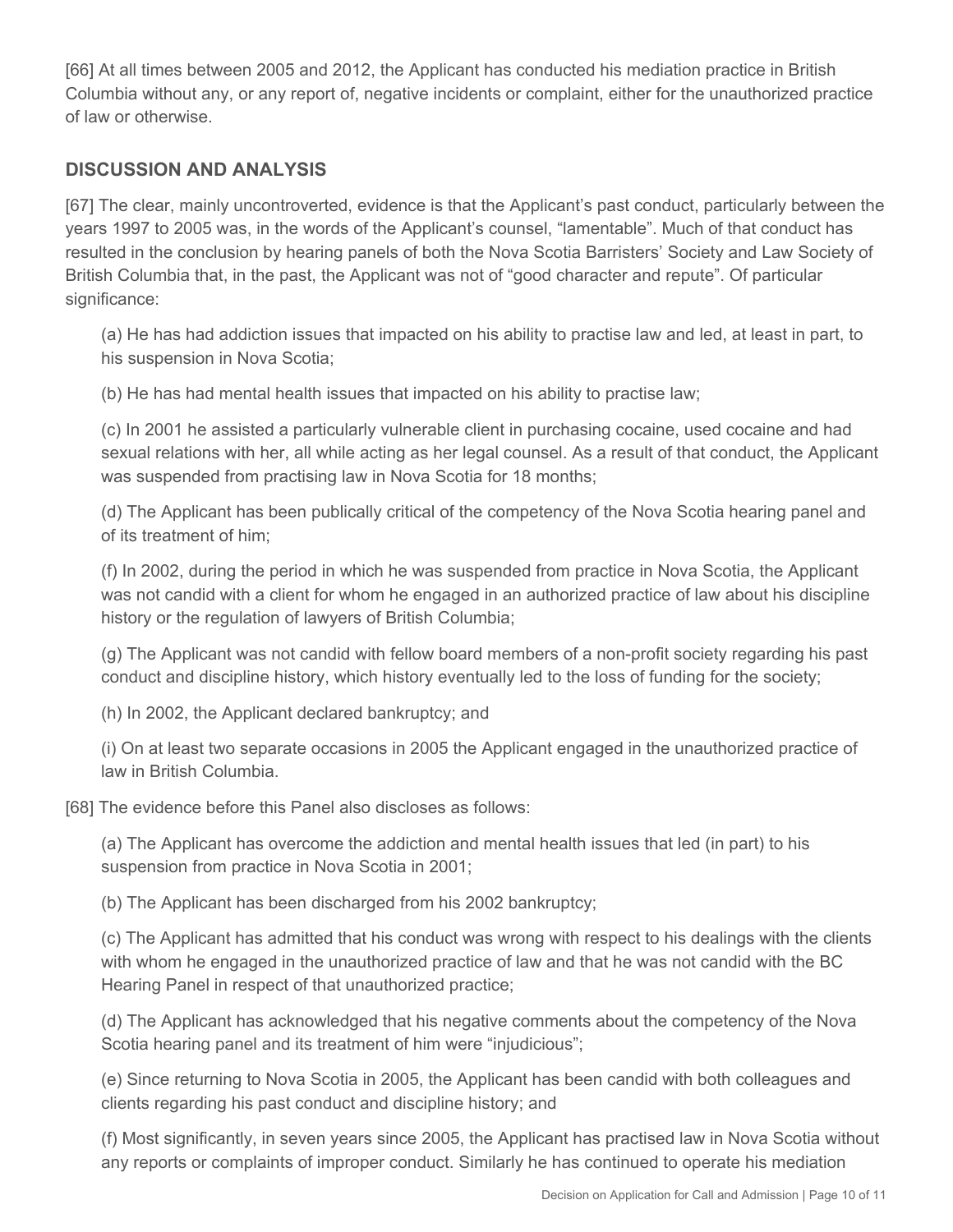[66] At all times between 2005 and 2012, the Applicant has conducted his mediation practice in British Columbia without any, or any report of, negative incidents or complaint, either for the unauthorized practice of law or otherwise.

### **DISCUSSION AND ANALYSIS**

[67] The clear, mainly uncontroverted, evidence is that the Applicant's past conduct, particularly between the years 1997 to 2005 was, in the words of the Applicant's counsel, "lamentable". Much of that conduct has resulted in the conclusion by hearing panels of both the Nova Scotia Barristers' Society and Law Society of British Columbia that, in the past, the Applicant was not of "good character and repute". Of particular significance:

(a) He has had addiction issues that impacted on his ability to practise law and led, at least in part, to his suspension in Nova Scotia;

(b) He has had mental health issues that impacted on his ability to practise law;

(c) In 2001 he assisted a particularly vulnerable client in purchasing cocaine, used cocaine and had sexual relations with her, all while acting as her legal counsel. As a result of that conduct, the Applicant was suspended from practising law in Nova Scotia for 18 months;

(d) The Applicant has been publically critical of the competency of the Nova Scotia hearing panel and of its treatment of him;

(f) In 2002, during the period in which he was suspended from practice in Nova Scotia, the Applicant was not candid with a client for whom he engaged in an authorized practice of law about his discipline history or the regulation of lawyers of British Columbia;

(g) The Applicant was not candid with fellow board members of a non-profit society regarding his past conduct and discipline history, which history eventually led to the loss of funding for the society;

(h) In 2002, the Applicant declared bankruptcy; and

(i) On at least two separate occasions in 2005 the Applicant engaged in the unauthorized practice of law in British Columbia.

[68] The evidence before this Panel also discloses as follows:

(a) The Applicant has overcome the addiction and mental health issues that led (in part) to his suspension from practice in Nova Scotia in 2001;

(b) The Applicant has been discharged from his 2002 bankruptcy;

(c) The Applicant has admitted that his conduct was wrong with respect to his dealings with the clients with whom he engaged in the unauthorized practice of law and that he was not candid with the BC Hearing Panel in respect of that unauthorized practice;

(d) The Applicant has acknowledged that his negative comments about the competency of the Nova Scotia hearing panel and its treatment of him were "injudicious";

(e) Since returning to Nova Scotia in 2005, the Applicant has been candid with both colleagues and clients regarding his past conduct and discipline history; and

(f) Most significantly, in seven years since 2005, the Applicant has practised law in Nova Scotia without any reports or complaints of improper conduct. Similarly he has continued to operate his mediation